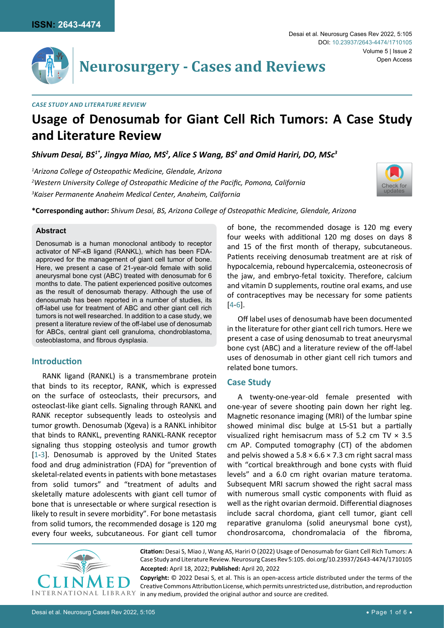

# **Neurosurgery - Cases and Reviews**

## *Case Study and Literature Review*

# **Usage of Denosumab for Giant Cell Rich Tumors: A Case Study and Literature Review**

Shivum Desai, BS<sup>1\*</sup>, Jingya Miao, MS<sup>2</sup>, Alice S Wang, BS<sup>2</sup> and Omid Hariri, DO, MSc<sup>3</sup>

*1 Arizona College of Osteopathic Medicine, Glendale, Arizona 2 Western University College of Osteopathic Medicine of the Pacific, Pomona, California 3 Kaiser Permanente Anaheim Medical Center, Anaheim, California*



**\*Corresponding author:** *Shivum Desai, BS, Arizona College of Osteopathic Medicine, Glendale, Arizona*

#### **Abstract**

Denosumab is a human monoclonal antibody to receptor activator of NF-κB ligand (RANKL), which has been FDAapproved for the management of giant cell tumor of bone. Here, we present a case of 21-year-old female with solid aneurysmal bone cyst (ABC) treated with denosumab for 6 months to date. The patient experienced positive outcomes as the result of denosumab therapy. Although the use of denosumab has been reported in a number of studies, its off-label use for treatment of ABC and other giant cell rich tumors is not well researched. In addition to a case study, we present a literature review of the off-label use of denosumab for ABCs, central giant cell granuloma, chondroblastoma, osteoblastoma, and fibrous dysplasia.

# **Introduction**

RANK ligand (RANKL) is a transmembrane protein that binds to its receptor, RANK, which is expressed on the surface of osteoclasts, their precursors, and osteoclast-like giant cells. Signaling through RANKL and RANK receptor subsequently leads to osteolysis and tumor growth. Denosumab (Xgeva) is a RANKL inhibitor that binds to RANKL, preventing RANKL-RANK receptor signaling thus stopping osteolysis and tumor growth [[1](#page-4-2)-[3](#page-4-3)]. Denosumab is approved by the United States food and drug administration (FDA) for "prevention of skeletal-related events in patients with bone metastases from solid tumors" and "treatment of adults and skeletally mature adolescents with giant cell tumor of bone that is unresectable or where surgical resection is likely to result in severe morbidity". For bone metastasis from solid tumors, the recommended dosage is 120 mg every four weeks, subcutaneous. For giant cell tumor



Off label uses of denosumab have been documented in the literature for other giant cell rich tumors. Here we present a case of using denosumab to treat aneurysmal bone cyst (ABC) and a literature review of the off-label uses of denosumab in other giant cell rich tumors and related bone tumors.

# **Case Study**

A twenty-one-year-old female presented with one-year of severe shooting pain down her right leg. Magnetic resonance imaging (MRI) of the lumbar spine showed minimal disc bulge at L5-S1 but a partially visualized right hemisacrum mass of 5.2 cm TV  $\times$  3.5 cm AP. Computed tomography (CT) of the abdomen and pelvis showed a  $5.8 \times 6.6 \times 7.3$  cm right sacral mass with "cortical breakthrough and bone cysts with fluid levels" and a 6.0 cm right ovarian mature teratoma. Subsequent MRI sacrum showed the right sacral mass with numerous small cystic components with fluid as well as the right ovarian dermoid. Differential diagnoses include sacral chordoma, giant cell tumor, giant cell reparative granuloma (solid aneurysmal bone cyst), chondrosarcoma, chondromalacia of the fibroma,



**Citation:** Desai S, Miao J, Wang AS, Hariri O (2022) Usage of Denosumab for Giant Cell Rich Tumors: A Case Study and Literature Review. Neurosurg Cases Rev 5:105. [doi.org/10.23937/2643-4474/1710105](https://doi.org/10.23937/2643-4474/1710105) **Accepted:** April 18, 2022; **Published:** April 20, 2022

**Copyright:** © 2022 Desai S, et al. This is an open-access article distributed under the terms of the Creative Commons Attribution License, which permits unrestricted use, distribution, and reproduction in any medium, provided the original author and source are credited.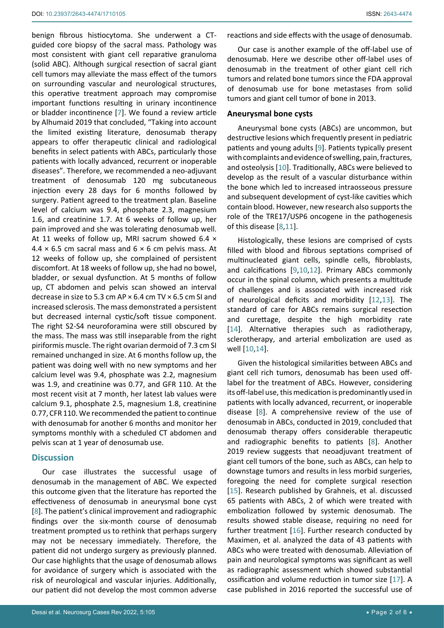benign fibrous histiocytoma. She underwent a CTguided core biopsy of the sacral mass. Pathology was most consistent with giant cell reparative granuloma (solid ABC). Although surgical resection of sacral giant cell tumors may alleviate the mass effect of the tumors on surrounding vascular and neurological structures, this operative treatment approach may compromise important functions resulting in urinary incontinence or bladder incontinence [[7](#page-4-14)]. We found a review article by Alhumaid 2019 that concluded, "Taking into account the limited existing literature, denosumab therapy appears to offer therapeutic clinical and radiological benefits in select patients with ABCs, particularly those patients with locally advanced, recurrent or inoperable diseases". Therefore, we recommended a neo-adjuvant treatment of denosumab 120 mg subcutaneous injection every 28 days for 6 months followed by surgery. Patient agreed to the treatment plan. Baseline level of calcium was 9.4, phosphate 2.3, magnesium 1.6, and creatinine 1.7. At 6 weeks of follow up, her pain improved and she was tolerating denosumab well. At 11 weeks of follow up, MRI sacrum showed 6.4 ×  $4.4 \times 6.5$  cm sacral mass and  $6 \times 6$  cm pelvis mass. At 12 weeks of follow up, she complained of persistent discomfort. At 18 weeks of follow up, she had no bowel, bladder, or sexual dysfunction. At 5 months of follow up, CT abdomen and pelvis scan showed an interval decrease in size to 5.3 cm AP × 6.4 cm TV × 6.5 cm SI and increased sclerosis. The mass demonstrated a persistent but decreased internal cystic/soft tissue component. The right S2-S4 neuroforamina were still obscured by the mass. The mass was still inseparable from the right piriformis muscle. The right ovarian dermoid of 7.3 cm SI remained unchanged in size. At 6 months follow up, the patient was doing well with no new symptoms and her calcium level was 9.4, phosphate was 2.2, magnesium was 1.9, and creatinine was 0.77, and GFR 110. At the most recent visit at 7 month, her latest lab values were calcium 9.1, phosphate 2.5, magnesium 1.8, creatinine 0.77, CFR 110. We recommended the patient to continue with denosumab for another 6 months and monitor her symptoms monthly with a scheduled CT abdomen and pelvis scan at 1 year of denosumab use.

# **Discussion**

Our case illustrates the successful usage of denosumab in the management of ABC. We expected this outcome given that the literature has reported the effectiveness of denosumab in aneurysmal bone cyst [[8](#page-4-6)]. The patient's clinical improvement and radiographic findings over the six-month course of denosumab treatment prompted us to rethink that perhaps surgery may not be necessary immediately. Therefore, the patient did not undergo surgery as previously planned. Our case highlights that the usage of denosumab allows for avoidance of surgery which is associated with the risk of neurological and vascular injuries. Additionally, our patient did not develop the most common adverse reactions and side effects with the usage of denosumab.

Our case is another example of the off-label use of denosumab. Here we describe other off-label uses of denosumab in the treatment of other giant cell rich tumors and related bone tumors since the FDA approval of denosumab use for bone metastases from solid tumors and giant cell tumor of bone in 2013.

# **Aneurysmal bone cysts**

Aneurysmal bone cysts (ABCs) are uncommon, but destructive lesions which frequently present in pediatric patients and young adults [[9](#page-4-4)]. Patients typically present with complaints and evidence of swelling, pain, fractures, and osteolysis [\[10](#page-4-5)]. Traditionally, ABCs were believed to develop as the result of a vascular disturbance within the bone which led to increased intraosseous pressure and subsequent development of cyst-like cavities which contain blood. However, new research also supports the role of the TRE17/USP6 oncogene in the pathogenesis of this disease [\[8](#page-4-6)[,11\]](#page-4-7).

Histologically, these lesions are comprised of cysts filled with blood and fibrous septations comprised of multinucleated giant cells, spindle cells, fibroblasts, and calcifications [[9](#page-4-4)[,10](#page-4-5)[,12](#page-4-8)]. Primary ABCs commonly occur in the spinal column, which presents a multitude of challenges and is associated with increased risk of neurological deficits and morbidity [[12](#page-4-8)[,13](#page-4-9)]. The standard of care for ABCs remains surgical resection and curettage, despite the high morbidity rate [\[14](#page-4-10)]. Alternative therapies such as radiotherapy, sclerotherapy, and arterial embolization are used as well [[10](#page-4-5),[14](#page-4-10)].

Given the histological similarities between ABCs and giant cell rich tumors, denosumab has been used offlabel for the treatment of ABCs. However, considering its off-label use, this medication is predominantly used in patients with locally advanced, recurrent, or inoperable disease [[8\]](#page-4-6). A comprehensive review of the use of denosumab in ABCs, conducted in 2019, concluded that denosumab therapy offers considerable therapeutic and radiographic benefits to patients [[8](#page-4-6)]. Another 2019 review suggests that neoadjuvant treatment of giant cell tumors of the bone, such as ABCs, can help to downstage tumors and results in less morbid surgeries, foregoing the need for complete surgical resection [\[15](#page-4-11)]. Research published by Grahneis, et al. discussed 65 patients with ABCs, 2 of which were treated with embolization followed by systemic denosumab. The results showed stable disease, requiring no need for further treatment [\[16](#page-4-12)]. Further research conducted by Maximen, et al. analyzed the data of 43 patients with ABCs who were treated with denosumab. Alleviation of pain and neurological symptoms was significant as well as radiographic assessment which showed substantial ossification and volume reduction in tumor size [[17](#page-4-13)]. A case published in 2016 reported the successful use of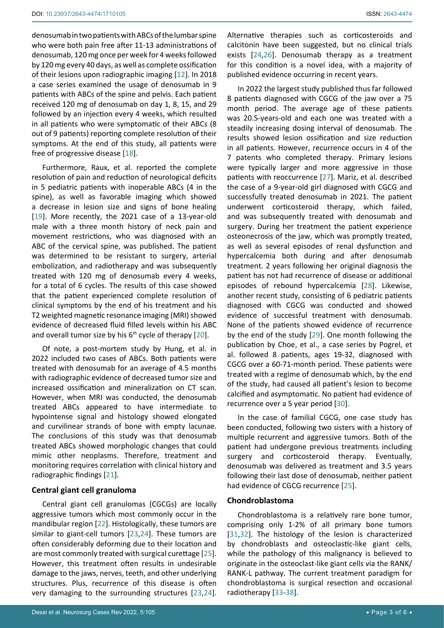denosumab in two patients with ABCs of the lumbar spine who were both pain free after 11-13 administrations of denosumab, 120 mg once per week for 4 weeks followed by 120 mg every 40 days, as well as complete ossification of their lesions upon radiographic imaging [\[12](#page-4-8)]. In 2018 a case series examined the usage of denosumab in 9 patients with ABCs of the spine and pelvis. Each patient received 120 mg of denosumab on day 1, 8, 15, and 29 followed by an injection every 4 weeks, which resulted in all patients who were symptomatic of their ABCs (8 out of 9 patients) reporting complete resolution of their symptoms. At the end of this study, all patients were free of progressive disease [[18\]](#page-4-15).

Furthermore, Raux, et al. reported the complete resolution of pain and reduction of neurological deficits in 5 pediatric patients with inoperable ABCs (4 in the spine), as well as favorable imaging which showed a decrease in lesion size and signs of bone healing [[19](#page-4-16)]. More recently, the 2021 case of a 13-year-old male with a three month history of neck pain and movement restrictions, who was diagnosed with an ABC of the cervical spine, was published. The patient was determined to be resistant to surgery, arterial embolization, and radiotherapy and was subsequently treated with 120 mg of denosumab every 4 weeks, for a total of 6 cycles. The results of this case showed that the patient experienced complete resolution of clinical symptoms by the end of his treatment and his T2 weighted magnetic resonance imaging (MRI) showed evidence of decreased fluid filled levels within his ABC and overall tumor size by his  $6<sup>th</sup>$  cycle of therapy [\[20](#page-4-17)].

Of note, a post-mortem study by Hung, et al. in 2022 included two cases of ABCs. Both patients were treated with denosumab for an average of 4.5 months with radiographic evidence of decreased tumor size and increased ossification and mineralization on CT scan. However, when MRI was conducted, the denosumab treated ABCs appeared to have intermediate to hypointense signal and histology showed elongated and curvilinear strands of bone with empty lacunae. The conclusions of this study was that denosumab treated ABCs showed morphologic changes that could mimic other neoplasms. Therefore, treatment and monitoring requires correlation with clinical history and radiographic findings [[21](#page-4-18)].

# **Central giant cell granuloma**

Central giant cell granulomas (CGCGs) are locally aggressive tumors which most commonly occur in the mandibular region [[22\]](#page-5-11). Histologically, these tumors are similar to giant-cell tumors [\[23](#page-5-12)[,24](#page-5-0)]. These tumors are often considerably deforming due to their location and are most commonly treated with surgical curettage [[25](#page-5-6)]. However, this treatment often results in undesirable damage to the jaws, nerves, teeth, and other underlying structures. Plus, recurrence of this disease is often very damaging to the surrounding structures [\[23,](#page-5-12)[24](#page-5-0)]. Alternative therapies such as corticosteroids and calcitonin have been suggested, but no clinical trials exists [[24,](#page-5-0)[26\]](#page-5-1). Denosumab therapy as a treatment for this condition is a novel idea, with a majority of published evidence occurring in recent years.

In 2022 the largest study published thus far followed 8 patients diagnosed with CGCG of the jaw over a 75 month period. The average age of these patients was 20.5-years-old and each one was treated with a steadily increasing dosing interval of denosumab. The results showed lesion ossification and size reduction in all patients. However, recurrence occurs in 4 of the 7 patents who completed therapy. Primary lesions were typically larger and more aggressive in those patients with reoccurrence [[27](#page-5-2)]. Mariz, et al. described the case of a 9-year-old girl diagnosed with CGCG and successfully treated denosumab in 2021. The patient underwent corticosteroid therapy, which failed, and was subsequently treated with denosumab and surgery. During her treatment the patient experience osteonecrosis of the jaw, which was promptly treated, as well as several episodes of renal dysfunction and hypercalcemia both during and after denosumab treatment. 2 years following her original diagnosis the patient has not had recurrence of disease or additional episodes of rebound hypercalcemia [[28](#page-5-3)]. Likewise, another recent study, consisting of 6 pediatric patients diagnosed with CGCG was conducted and showed evidence of successful treatment with denosumab. None of the patients showed evidence of recurrence by the end of the study [\[29](#page-5-4)]. One month following the publication by Choe, et al., a case series by Pogrel, et al. followed 8 patients, ages 19-32, diagnosed with CGCG over a 60-71-month period. These patients were treated with a regime of denosumab which, by the end of the study, had caused all patient's lesion to become calcified and asymptomatic. No patient had evidence of recurrence over a 5 year period [\[30\]](#page-5-5).

In the case of familial CGCG, one case study has been conducted, following two sisters with a history of multiple recurrent and aggressive tumors. Both of the patient had undergone previous treatments including surgery and corticosteroid therapy. Eventually, denosumab was delivered as treatment and 3.5 years following their last dose of denosumab, neither patient had evidence of CGCG recurrence [\[25](#page-5-6)].

# **Chondroblastoma**

Chondroblastoma is a relatively rare bone tumor, comprising only 1-2% of all primary bone tumors [\[31](#page-5-7)[,32](#page-5-8)]. The histology of the lesion is characterized by chondroblasts and osteoclastic-like giant cells, while the pathology of this malignancy is believed to originate in the osteoclast-like giant cells via the RANK/ RANK-L pathway. The current treatment paradigm for chondroblastoma is surgical resection and occasional radiotherapy [[33-](#page-5-9)[38](#page-5-10)].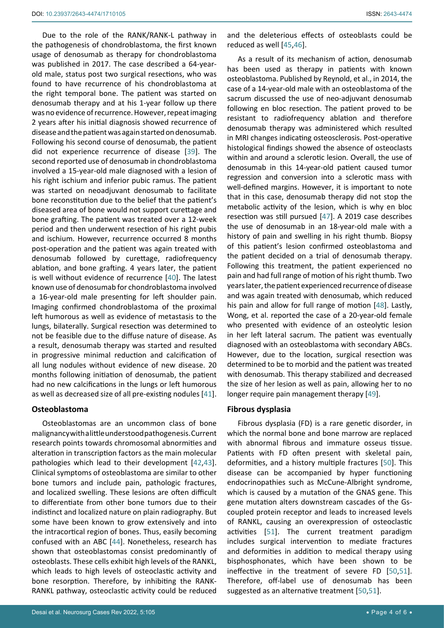Due to the role of the RANK/RANK-L pathway in the pathogenesis of chondroblastoma, the first known usage of denosumab as therapy for chondroblastoma was published in 2017. The case described a 64-yearold male, status post two surgical resections, who was found to have recurrence of his chondroblastoma at the right temporal bone. The patient was started on denosumab therapy and at his 1-year follow up there was no evidence of recurrence. However, repeat imaging 2 years after his initial diagnosis showed recurrence of disease and the patient was again started on denosumab. Following his second course of denosumab, the patient did not experience recurrence of disease [[39\]](#page-5-20). The second reported use of denosumab in chondroblastoma involved a 15-year-old male diagnosed with a lesion of his right ischium and inferior pubic ramus. The patient was started on neoadjuvant denosumab to facilitate bone reconstitution due to the belief that the patient's diseased area of bone would not support curettage and bone grafting. The patient was treated over a 12-week period and then underwent resection of his right pubis and ischium. However, recurrence occurred 8 months post-operation and the patient was again treated with denosumab followed by curettage, radiofrequency ablation, and bone grafting. 4 years later, the patient is well without evidence of recurrence [[40](#page-5-21)]. The latest known use of denosumab for chondroblastoma involved a 16-year-old male presenting for left shoulder pain. Imaging confirmed chondroblastoma of the proximal left humorous as well as evidence of metastasis to the lungs, bilaterally. Surgical resection was determined to not be feasible due to the diffuse nature of disease. As a result, denosumab therapy was started and resulted in progressive minimal reduction and calcification of all lung nodules without evidence of new disease. 20 months following initiation of denosumab, the patient had no new calcifications in the lungs or left humorous as well as decreased size of all pre-existing nodules [[41](#page-5-22)].

#### **Osteoblastoma**

Osteoblastomas are an uncommon class of bone malignancy with a little understood pathogenesis. Current research points towards chromosomal abnormities and alteration in transcription factors as the main molecular pathologies which lead to their development [\[42,](#page-5-23)[43](#page-5-24)]. Clinical symptoms of osteoblastoma are similar to other bone tumors and include pain, pathologic fractures, and localized swelling. These lesions are often difficult to differentiate from other bone tumors due to their indistinct and localized nature on plain radiography. But some have been known to grow extensively and into the intracortical region of bones. Thus, easily becoming confused with an ABC [\[44](#page-5-25)]. Nonetheless, research has shown that osteoblastomas consist predominantly of osteoblasts. These cells exhibit high levels of the RANKL, which leads to high levels of osteoclastic activity and bone resorption. Therefore, by inhibiting the RANK-RANKL pathway, osteoclastic activity could be reduced

and the deleterious effects of osteoblasts could be reduced as well [\[45](#page-5-13)[,46](#page-5-14)].

As a result of its mechanism of action, denosumab has been used as therapy in patients with known osteoblastoma. Published by Reynold, et al., in 2014, the case of a 14-year-old male with an osteoblastoma of the sacrum discussed the use of neo-adjuvant denosumab following en bloc resection. The patient proved to be resistant to radiofrequency ablation and therefore denosumab therapy was administered which resulted in MRI changes indicating osteosclerosis. Post-operative histological findings showed the absence of osteoclasts within and around a sclerotic lesion. Overall, the use of denosumab in this 14-year-old patient caused tumor regression and conversion into a sclerotic mass with well-defined margins. However, it is important to note that in this case, denosumab therapy did not stop the metabolic activity of the lesion, which is why en bloc resection was still pursued [[47](#page-5-15)]. A 2019 case describes the use of denosumab in an 18-year-old male with a history of pain and swelling in his right thumb. Biopsy of this patient's lesion confirmed osteoblastoma and the patient decided on a trial of denosumab therapy. Following this treatment, the patient experienced no pain and had full range of motion of his right thumb. Two years later, the patient experienced recurrence of disease and was again treated with denosumab, which reduced his pain and allow for full range of motion [[48](#page-5-16)]. Lastly, Wong, et al. reported the case of a 20-year-old female who presented with evidence of an osteolytic lesion in her left lateral sacrum. The patient was eventually diagnosed with an osteoblastoma with secondary ABCs. However, due to the location, surgical resection was determined to be to morbid and the patient was treated with denosumab. This therapy stabilized and decreased the size of her lesion as well as pain, allowing her to no longer require pain management therapy [\[49](#page-5-17)].

#### **Fibrous dysplasia**

Fibrous dysplasia (FD) is a rare genetic disorder, in which the normal bone and bone marrow are replaced with abnormal fibrous and immature osseus tissue. Patients with FD often present with skeletal pain, deformities, and a history multiple fractures [[50](#page-5-18)]. This disease can be accompanied by hyper functioning endocrinopathies such as McCune-Albright syndrome, which is caused by a mutation of the GNAS gene. This gene mutation alters downstream cascades of the Gscoupled protein receptor and leads to increased levels of RANKL, causing an overexpression of osteoclastic activities [[51\]](#page-5-19). The current treatment paradigm includes surgical intervention to mediate fractures and deformities in addition to medical therapy using bisphosphonates, which have been shown to be ineffective in the treatment of severe FD [[50](#page-5-18)[,51\]](#page-5-19). Therefore, off-label use of denosumab has been suggested as an alternative treatment [[50,](#page-5-18)[51](#page-5-19)].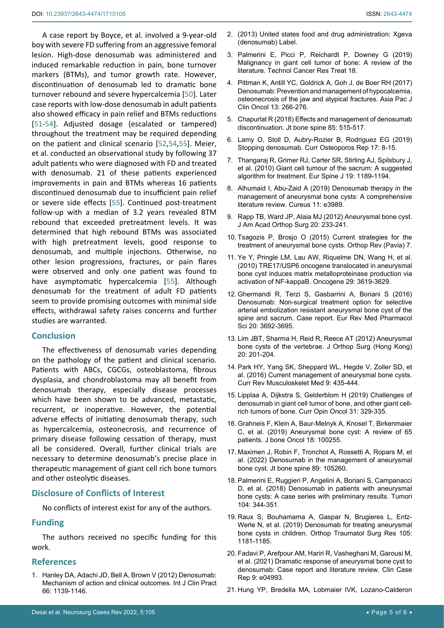A case report by Boyce, et al. involved a 9-year-old boy with severe FD suffering from an aggressive femoral lesion. High-dose denosumab was administered and induced remarkable reduction in pain, bone turnover markers (BTMs), and tumor growth rate. However, discontinuation of denosumab led to dramatic bone turnover rebound and severe hypercalcemia [[50\]](#page-5-18). Later case reports with low-dose denosumab in adult patients also showed efficacy in pain relief and BTMs reductions [[51](#page-5-19)[-54\]](#page-5-26). Adjusted dosage (escalated or tampered) throughout the treatment may be required depending on the patient and clinical scenario [[52](#page-5-27)[,54](#page-5-26)[,55](#page-5-28)]. Meier, et al. conducted an observational study by following 37 adult patients who were diagnosed with FD and treated with denosumab. 21 of these patients experienced improvements in pain and BTMs whereas 16 patients discontinued denosumab due to insufficient pain relief or severe side effects [[55](#page-5-28)]. Continued post-treatment follow-up with a median of 3.2 years revealed BTM rebound that exceeded pretreatment levels. It was determined that high rebound BTMs was associated with high pretreatment levels, good response to denosumab, and multiple injections. Otherwise, no other lesion progressions, fractures, or pain flares were observed and only one patient was found to have asymptomatic hypercalcemia [[55](#page-5-28)]. Although denosumab for the treatment of adult FD patients seem to provide promising outcomes with minimal side effects, withdrawal safety raises concerns and further studies are warranted.

# **Conclusion**

The effectiveness of denosumab varies depending on the pathology of the patient and clinical scenario. Patients with ABCs, CGCGs, osteoblastoma, fibrous dysplasia, and chondroblastoma may all benefit from denosumab therapy, especially disease processes which have been shown to be advanced, metastatic, recurrent, or inoperative. However, the potential adverse effects of initiating denosumab therapy, such as hypercalcemia, osteonecrosis, and recurrence of primary disease following cessation of therapy, must all be considered. Overall, further clinical trials are necessary to determine denosumab's precise place in therapeutic management of giant cell rich bone tumors and other osteolytic diseases.

## **Disclosure of Conflicts of Interest**

No conflicts of interest exist for any of the authors.

# **Funding**

The authors received no specific funding for this work.

### **References**

<span id="page-4-2"></span>1. [Hanley DA, Adachi JD, Bell A, Brown V \(2012\) Denosumab:](https://www.ncbi.nlm.nih.gov/pmc/articles/PMC3549483/)  [Mechanism of action and clinical outcomes. Int J Clin Pract](https://www.ncbi.nlm.nih.gov/pmc/articles/PMC3549483/)  [66: 1139-1146.](https://www.ncbi.nlm.nih.gov/pmc/articles/PMC3549483/)

- 2. (2013) United states food and drug administration: Xgeva (denosumab) Label.
- <span id="page-4-3"></span>3. [Palmerini E, Picci P, Reichardt P, Downey G \(2019\)](https://pubmed.ncbi.nlm.nih.gov/30935298/)  [Malignancy in giant cell tumor of bone: A review of the](https://pubmed.ncbi.nlm.nih.gov/30935298/)  [literature. Technol Cancer Res Treat 18.](https://pubmed.ncbi.nlm.nih.gov/30935298/)
- <span id="page-4-0"></span>4. [Pittman K, Antill YC, Goldrick A, Goh J, de Boer RH \(2017\)](https://onlinelibrary.wiley.com/doi/10.1111/ajco.12517)  [Denosumab: Prevention and management of hypocalcemia,](https://onlinelibrary.wiley.com/doi/10.1111/ajco.12517)  [osteonecrosis of the jaw and atypical fractures. Asia Pac J](https://onlinelibrary.wiley.com/doi/10.1111/ajco.12517)  [Clin Oncol 13: 266-276.](https://onlinelibrary.wiley.com/doi/10.1111/ajco.12517)
- 5. [Chapurlat R \(2018\) Effects and management of denosumab](https://pubmed.ncbi.nlm.nih.gov/29317292/)  [discontinuation. Jt bone spine 85: 515-517.](https://pubmed.ncbi.nlm.nih.gov/29317292/)
- <span id="page-4-1"></span>6. [Lamy O, Stoll D, Aubry-Rozier B, Rodriguez EG \(2019\)](https://pubmed.ncbi.nlm.nih.gov/30659428/)  [Stopping denosumab. Curr Osteoporos Rep 17: 8-15.](https://pubmed.ncbi.nlm.nih.gov/30659428/)
- <span id="page-4-14"></span>7. [Thangaraj R, Grimer RJ, Carter SR, Stirling AJ, Spilsbury J,](https://pubmed.ncbi.nlm.nih.gov/20076978/)  [et al. \(2010\) Giant cell tumour of the sacrum: A suggested](https://pubmed.ncbi.nlm.nih.gov/20076978/)  [algorithm for treatment. Eur Spine J 19: 1189-1194.](https://pubmed.ncbi.nlm.nih.gov/20076978/)
- <span id="page-4-6"></span>8. [Alhumaid I, Abu-Zaid A \(2019\) Denosumab therapy in the](https://pubmed.ncbi.nlm.nih.gov/30972268/)  [management of aneurysmal bone cysts: A comprehensive](https://pubmed.ncbi.nlm.nih.gov/30972268/)  [literature review. Cureus 11: e3989.](https://pubmed.ncbi.nlm.nih.gov/30972268/)
- <span id="page-4-4"></span>9. [Rapp TB, Ward JP, Alaia MJ \(2012\) Aneurysmal bone cyst.](https://pubmed.ncbi.nlm.nih.gov/22474093/)  [J Am Acad Orthop Surg 20: 233-241.](https://pubmed.ncbi.nlm.nih.gov/22474093/)
- <span id="page-4-5"></span>10. [Tsagozis P, Brosjo O \(2015\) Current strategies for the](https://pubmed.ncbi.nlm.nih.gov/26793296/)  [treatment of aneurysmal bone cysts. Orthop Rev \(Pavia\) 7.](https://pubmed.ncbi.nlm.nih.gov/26793296/)
- <span id="page-4-7"></span>11. [Ye Y, Pringle LM, Lau AW, Riquelme DN, Wang H, et al.](https://pubmed.ncbi.nlm.nih.gov/20418905/)  [\(2010\) TRE17/USP6 oncogene translocated in aneurysmal](https://pubmed.ncbi.nlm.nih.gov/20418905/)  [bone cyst induces matrix metalloproteinase production via](https://pubmed.ncbi.nlm.nih.gov/20418905/)  [activation of NF-kappaB. Oncogene 29: 3619-3629.](https://pubmed.ncbi.nlm.nih.gov/20418905/)
- <span id="page-4-8"></span>12. [Ghermandi R, Terzi S, Gasbarrini A, Boriani S \(2016\)](https://pubmed.ncbi.nlm.nih.gov/27649673/)  [Denosumab: Non-surgical treatment option for selective](https://pubmed.ncbi.nlm.nih.gov/27649673/)  [arterial embolization resistant aneurysmal bone cyst of the](https://pubmed.ncbi.nlm.nih.gov/27649673/)  [spine and sacrum. Case report. Eur Rev Med Pharmacol](https://pubmed.ncbi.nlm.nih.gov/27649673/)  [Sci 20: 3692-3695.](https://pubmed.ncbi.nlm.nih.gov/27649673/)
- <span id="page-4-9"></span>13. [Lim JBT, Sharma H, Reid R, Reece AT \(2012\) Aneurysmal](https://pubmed.ncbi.nlm.nih.gov/22933679/)  [bone cysts of the vertebrae. J Orthop Surg \(Hong Kong\)](https://pubmed.ncbi.nlm.nih.gov/22933679/)  [20: 201-204.](https://pubmed.ncbi.nlm.nih.gov/22933679/)
- <span id="page-4-10"></span>14. [Park HY, Yang SK, Sheppard WL, Hegde V, Zoller SD, et](https://www.ncbi.nlm.nih.gov/pmc/articles/PMC5127951/)  [al. \(2016\) Current management of aneurysmal bone cysts.](https://www.ncbi.nlm.nih.gov/pmc/articles/PMC5127951/)  [Curr Rev Musculoskelet Med 9: 435-444.](https://www.ncbi.nlm.nih.gov/pmc/articles/PMC5127951/)
- <span id="page-4-11"></span>15. [Lipplaa A, Dijkstra S, Gelderblom H \(2019\) Challenges of](https://pubmed.ncbi.nlm.nih.gov/30844887/)  [denosumab in giant cell tumor of bone, and other giant cell](https://pubmed.ncbi.nlm.nih.gov/30844887/)[rich tumors of bone. Curr Opin Oncol 31: 329-335.](https://pubmed.ncbi.nlm.nih.gov/30844887/)
- <span id="page-4-12"></span>16. [Grahneis F, Klein A, Baur-Melnyk A, Knosel T, Birkenmaier](https://www.ncbi.nlm.nih.gov/pmc/articles/PMC6706632/)  [C, et al. \(2019\) Aneurysmal bone cyst: A review of 65](https://www.ncbi.nlm.nih.gov/pmc/articles/PMC6706632/)  [patients. J bone Oncol 18: 100255.](https://www.ncbi.nlm.nih.gov/pmc/articles/PMC6706632/)
- <span id="page-4-13"></span>17. [Maximen J, Robin F, Tronchot A, Rossetti A, Ropars M, et](https://pubmed.ncbi.nlm.nih.gov/34481945/)  [al. \(2022\) Denosumab in the management of aneurysmal](https://pubmed.ncbi.nlm.nih.gov/34481945/)  [bone cyst. Jt bone spine 89: 105260.](https://pubmed.ncbi.nlm.nih.gov/34481945/)
- <span id="page-4-15"></span>18. [Palmerini E, Ruggieri P, Angelini A, Boriani S, Campanacci](https://pubmed.ncbi.nlm.nih.gov/30086700/)  [D, et al. \(2018\) Denosumab in patients with aneurysmal](https://pubmed.ncbi.nlm.nih.gov/30086700/)  [bone cysts: A case series with preliminary results. Tumori](https://pubmed.ncbi.nlm.nih.gov/30086700/)  [104: 344-351.](https://pubmed.ncbi.nlm.nih.gov/30086700/)
- <span id="page-4-16"></span>19. [Raux S, Bouhamama A, Gaspar N, Brugieres L, Entz-](https://pubmed.ncbi.nlm.nih.gov/31358461/)[Werle N, et al. \(2019\) Denosumab for treating aneurysmal](https://pubmed.ncbi.nlm.nih.gov/31358461/)  [bone cysts in children. Orthop Traumatol Surg Res 105:](https://pubmed.ncbi.nlm.nih.gov/31358461/)  [1181-1185.](https://pubmed.ncbi.nlm.nih.gov/31358461/)
- <span id="page-4-17"></span>20. [Fadavi P, Arefpour AM, Hariri R, Vasheghani M, Garousi M,](https://pubmed.ncbi.nlm.nih.gov/34745616/)  [et al. \(2021\) Dramatic response of aneurysmal bone cyst to](https://pubmed.ncbi.nlm.nih.gov/34745616/)  [denosumab: Case report and literature review. Clin Case](https://pubmed.ncbi.nlm.nih.gov/34745616/)  [Rep 9: e04993.](https://pubmed.ncbi.nlm.nih.gov/34745616/)
- <span id="page-4-18"></span>21. [Hung YP, Bredella MA, Lobmaier IVK, Lozano-Calderon](https://pubmed.ncbi.nlm.nih.gov/35114728/)